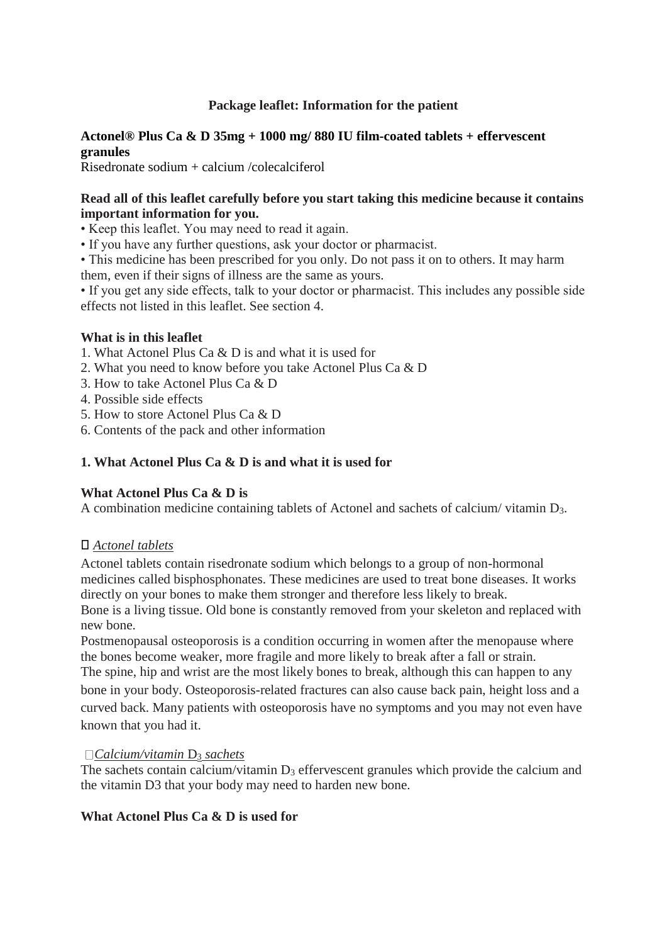## **Package leaflet: Information for the patient**

## **Actonel® Plus Ca & D 35mg + 1000 mg/ 880 IU film-coated tablets + effervescent granules**

Risedronate sodium + calcium /colecalciferol

### **Read all of this leaflet carefully before you start taking this medicine because it contains important information for you.**

- Keep this leaflet. You may need to read it again.
- If you have any further questions, ask your doctor or pharmacist.

• This medicine has been prescribed for you only. Do not pass it on to others. It may harm them, even if their signs of illness are the same as yours.

• If you get any side effects, talk to your doctor or pharmacist. This includes any possible side effects not listed in this leaflet. See section 4.

#### **What is in this leaflet**

- 1. What Actonel Plus Ca & D is and what it is used for
- 2. What you need to know before you take Actonel Plus Ca & D
- 3. How to take Actonel Plus Ca & D
- 4. Possible side effects
- 5. How to store Actonel Plus Ca & D
- 6. Contents of the pack and other information

#### **1. What Actonel Plus Ca & D is and what it is used for**

#### **What Actonel Plus Ca & D is**

A combination medicine containing tablets of Actonel and sachets of calcium/ vitamin D3.

## ⃝ *Actonel tablets*

Actonel tablets contain risedronate sodium which belongs to a group of non-hormonal medicines called bisphosphonates. These medicines are used to treat bone diseases. It works directly on your bones to make them stronger and therefore less likely to break. Bone is a living tissue. Old bone is constantly removed from your skeleton and replaced with new bone.

Postmenopausal osteoporosis is a condition occurring in women after the menopause where the bones become weaker, more fragile and more likely to break after a fall or strain.

The spine, hip and wrist are the most likely bones to break, although this can happen to any bone in your body. Osteoporosis-related fractures can also cause back pain, height loss and a curved back. Many patients with osteoporosis have no symptoms and you may not even have known that you had it.

#### *Calcium/vitamin* D<sup>3</sup> *sachets*

The sachets contain calcium/vitamin  $D_3$  effervescent granules which provide the calcium and the vitamin D3 that your body may need to harden new bone.

## **What Actonel Plus Ca & D is used for**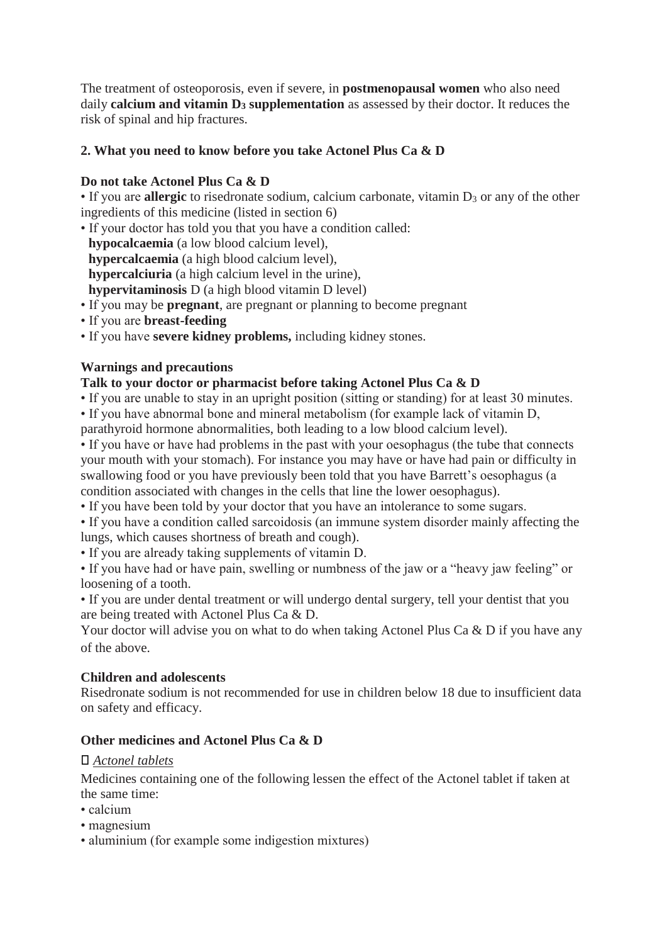The treatment of osteoporosis, even if severe, in **postmenopausal women** who also need daily **calcium and vitamin D<sup>3</sup> supplementation** as assessed by their doctor. It reduces the risk of spinal and hip fractures.

## **2. What you need to know before you take Actonel Plus Ca & D**

## **Do not take Actonel Plus Ca & D**

• If you are **allergic** to risedronate sodium, calcium carbonate, vitamin D<sub>3</sub> or any of the other ingredients of this medicine (listed in section 6)

- If your doctor has told you that you have a condition called:
	- **hypocalcaemia** (a low blood calcium level),
	- **hypercalcaemia** (a high blood calcium level),
- **hypercalciuria** (a high calcium level in the urine),
- **hypervitaminosis** D (a high blood vitamin D level)
- If you may be **pregnant**, are pregnant or planning to become pregnant
- If you are **breast-feeding**
- If you have **severe kidney problems,** including kidney stones.

## **Warnings and precautions**

## **Talk to your doctor or pharmacist before taking Actonel Plus Ca & D**

• If you are unable to stay in an upright position (sitting or standing) for at least 30 minutes.

- If you have abnormal bone and mineral metabolism (for example lack of vitamin D,
- parathyroid hormone abnormalities, both leading to a low blood calcium level).

• If you have or have had problems in the past with your oesophagus (the tube that connects your mouth with your stomach). For instance you may have or have had pain or difficulty in swallowing food or you have previously been told that you have Barrett's oesophagus (a condition associated with changes in the cells that line the lower oesophagus).

• If you have been told by your doctor that you have an intolerance to some sugars.

• If you have a condition called sarcoidosis (an immune system disorder mainly affecting the lungs, which causes shortness of breath and cough).

• If you are already taking supplements of vitamin D.

• If you have had or have pain, swelling or numbness of the jaw or a "heavy jaw feeling" or loosening of a tooth.

• If you are under dental treatment or will undergo dental surgery, tell your dentist that you are being treated with Actonel Plus Ca & D.

Your doctor will advise you on what to do when taking Actonel Plus Ca & D if you have any of the above.

# **Children and adolescents**

Risedronate sodium is not recommended for use in children below 18 due to insufficient data on safety and efficacy.

# **Other medicines and Actonel Plus Ca & D**

## ⃝ *Actonel tablets*

Medicines containing one of the following lessen the effect of the Actonel tablet if taken at the same time:

- calcium
- magnesium
- aluminium (for example some indigestion mixtures)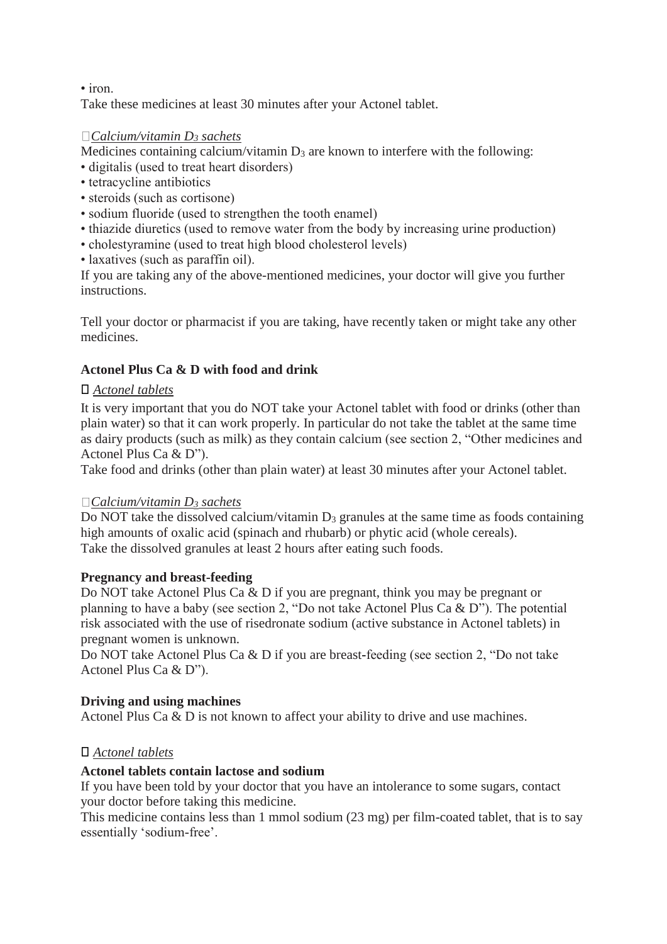• iron.

Take these medicines at least 30 minutes after your Actonel tablet.

### *Calcium/vitamin D<sup>3</sup> sachets*

Medicines containing calcium/vitamin  $D_3$  are known to interfere with the following:

- digitalis (used to treat heart disorders)
- tetracycline antibiotics
- steroids (such as cortisone)
- sodium fluoride (used to strengthen the tooth enamel)
- thiazide diuretics (used to remove water from the body by increasing urine production)
- cholestyramine (used to treat high blood cholesterol levels)
- laxatives (such as paraffin oil).

If you are taking any of the above-mentioned medicines, your doctor will give you further instructions.

Tell your doctor or pharmacist if you are taking, have recently taken or might take any other medicines.

## **Actonel Plus Ca & D with food and drink**

#### ⃝ *Actonel tablets*

It is very important that you do NOT take your Actonel tablet with food or drinks (other than plain water) so that it can work properly. In particular do not take the tablet at the same time as dairy products (such as milk) as they contain calcium (see section 2, "Other medicines and Actonel Plus Ca & D").

Take food and drinks (other than plain water) at least 30 minutes after your Actonel tablet.

#### *Calcium/vitamin D<sup>3</sup> sachets*

Do NOT take the dissolved calcium/vitamin D<sub>3</sub> granules at the same time as foods containing high amounts of oxalic acid (spinach and rhubarb) or phytic acid (whole cereals). Take the dissolved granules at least 2 hours after eating such foods.

#### **Pregnancy and breast-feeding**

Do NOT take Actonel Plus Ca & D if you are pregnant, think you may be pregnant or planning to have a baby (see section 2, "Do not take Actonel Plus Ca & D"). The potential risk associated with the use of risedronate sodium (active substance in Actonel tablets) in pregnant women is unknown.

Do NOT take Actonel Plus Ca & D if you are breast-feeding (see section 2, "Do not take Actonel Plus Ca & D").

## **Driving and using machines**

Actonel Plus Ca & D is not known to affect your ability to drive and use machines.

## ⃝ *Actonel tablets*

#### **Actonel tablets contain lactose and sodium**

If you have been told by your doctor that you have an intolerance to some sugars, contact your doctor before taking this medicine.

This medicine contains less than 1 mmol sodium (23 mg) per film-coated tablet, that is to say essentially 'sodium-free'.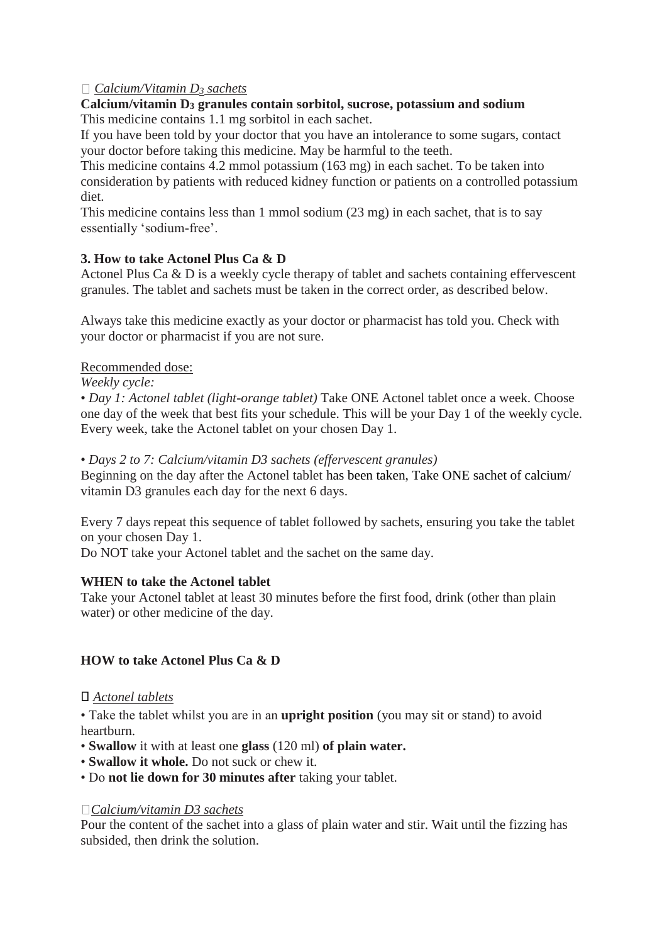## *Calcium/Vitamin D<sup>3</sup> sachets*

#### **Calcium/vitamin D<sup>3</sup> granules contain sorbitol, sucrose, potassium and sodium** This medicine contains 1.1 mg sorbitol in each sachet.

If you have been told by your doctor that you have an intolerance to some sugars, contact your doctor before taking this medicine. May be harmful to the teeth.

This medicine contains 4.2 mmol potassium (163 mg) in each sachet. To be taken into consideration by patients with reduced kidney function or patients on a controlled potassium diet.

This medicine contains less than 1 mmol sodium (23 mg) in each sachet, that is to say essentially 'sodium-free'.

## **3. How to take Actonel Plus Ca & D**

Actonel Plus Ca & D is a weekly cycle therapy of tablet and sachets containing effervescent granules. The tablet and sachets must be taken in the correct order, as described below.

Always take this medicine exactly as your doctor or pharmacist has told you. Check with your doctor or pharmacist if you are not sure.

Recommended dose:

*Weekly cycle:* 

• *Day 1: Actonel tablet (light-orange tablet)* Take ONE Actonel tablet once a week. Choose one day of the week that best fits your schedule. This will be your Day 1 of the weekly cycle. Every week, take the Actonel tablet on your chosen Day 1.

• *Days 2 to 7: Calcium/vitamin D3 sachets (effervescent granules)* 

Beginning on the day after the Actonel tablet has been taken, Take ONE sachet of calcium/ vitamin D3 granules each day for the next 6 days.

Every 7 days repeat this sequence of tablet followed by sachets, ensuring you take the tablet on your chosen Day 1.

Do NOT take your Actonel tablet and the sachet on the same day.

#### **WHEN to take the Actonel tablet**

Take your Actonel tablet at least 30 minutes before the first food, drink (other than plain water) or other medicine of the day.

#### **HOW to take Actonel Plus Ca & D**

#### ⃝ *Actonel tablets*

• Take the tablet whilst you are in an **upright position** (you may sit or stand) to avoid heartburn.

- **Swallow** it with at least one **glass** (120 ml) **of plain water.**
- **Swallow it whole.** Do not suck or chew it.
- Do **not lie down for 30 minutes after** taking your tablet.

#### *Calcium/vitamin D3 sachets*

Pour the content of the sachet into a glass of plain water and stir. Wait until the fizzing has subsided, then drink the solution.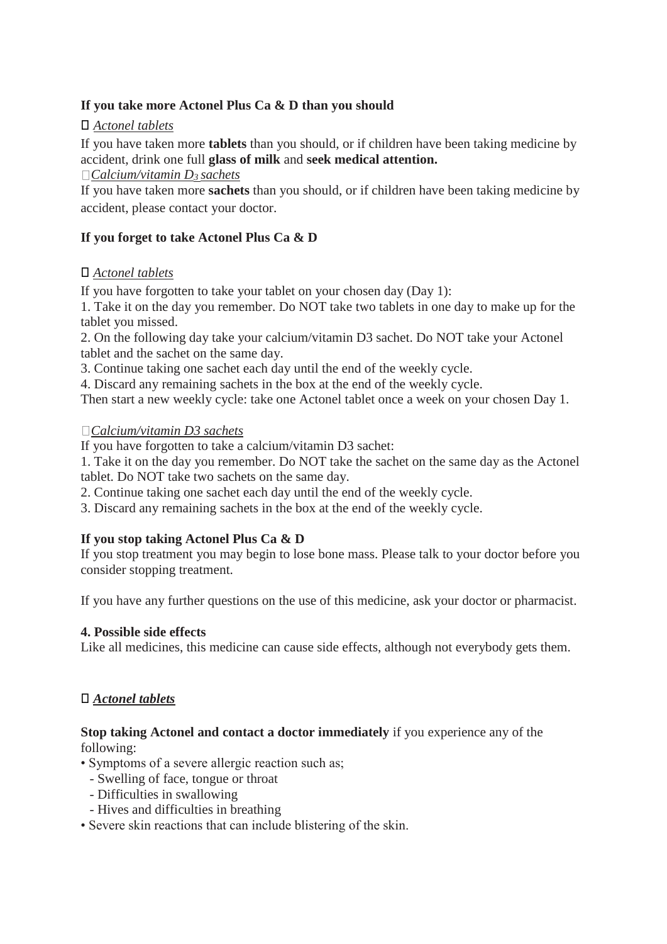## **If you take more Actonel Plus Ca & D than you should**

## ⃝ *Actonel tablets*

If you have taken more **tablets** than you should, or if children have been taking medicine by accident, drink one full **glass of milk** and **seek medical attention.** 

*Calcium/vitamin D3 sachets* 

If you have taken more **sachets** than you should, or if children have been taking medicine by accident, please contact your doctor.

## **If you forget to take Actonel Plus Ca & D**

## ⃝ *Actonel tablets*

If you have forgotten to take your tablet on your chosen day (Day 1):

1. Take it on the day you remember. Do NOT take two tablets in one day to make up for the tablet you missed.

2. On the following day take your calcium/vitamin D3 sachet. Do NOT take your Actonel tablet and the sachet on the same day.

3. Continue taking one sachet each day until the end of the weekly cycle.

4. Discard any remaining sachets in the box at the end of the weekly cycle.

Then start a new weekly cycle: take one Actonel tablet once a week on your chosen Day 1.

## *Calcium/vitamin D3 sachets*

If you have forgotten to take a calcium/vitamin D3 sachet:

1. Take it on the day you remember. Do NOT take the sachet on the same day as the Actonel tablet. Do NOT take two sachets on the same day.

2. Continue taking one sachet each day until the end of the weekly cycle.

3. Discard any remaining sachets in the box at the end of the weekly cycle.

## **If you stop taking Actonel Plus Ca & D**

If you stop treatment you may begin to lose bone mass. Please talk to your doctor before you consider stopping treatment.

If you have any further questions on the use of this medicine, ask your doctor or pharmacist.

## **4. Possible side effects**

Like all medicines, this medicine can cause side effects, although not everybody gets them.

# ⃝ *Actonel tablets*

## **Stop taking Actonel and contact a doctor immediately** if you experience any of the following:

• Symptoms of a severe allergic reaction such as;

- Swelling of face, tongue or throat
- Difficulties in swallowing
- Hives and difficulties in breathing
- Severe skin reactions that can include blistering of the skin.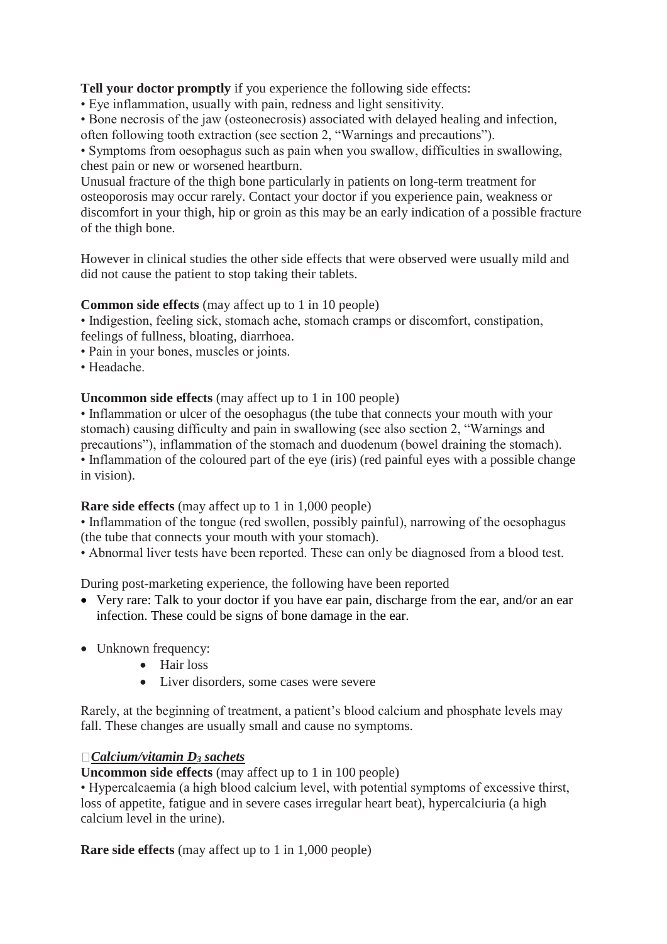**Tell your doctor promptly** if you experience the following side effects:

• Eye inflammation, usually with pain, redness and light sensitivity.

• Bone necrosis of the jaw (osteonecrosis) associated with delayed healing and infection, often following tooth extraction (see section 2, "Warnings and precautions").

• Symptoms from oesophagus such as pain when you swallow, difficulties in swallowing, chest pain or new or worsened heartburn.

Unusual fracture of the thigh bone particularly in patients on long-term treatment for osteoporosis may occur rarely. Contact your doctor if you experience pain, weakness or discomfort in your thigh, hip or groin as this may be an early indication of a possible fracture of the thigh bone.

However in clinical studies the other side effects that were observed were usually mild and did not cause the patient to stop taking their tablets.

## **Common side effects** (may affect up to 1 in 10 people)

• Indigestion, feeling sick, stomach ache, stomach cramps or discomfort, constipation, feelings of fullness, bloating, diarrhoea.

- Pain in your bones, muscles or joints.
- Headache.

## **Uncommon side effects** (may affect up to 1 in 100 people)

• Inflammation or ulcer of the oesophagus (the tube that connects your mouth with your stomach) causing difficulty and pain in swallowing (see also section 2, "Warnings and precautions"), inflammation of the stomach and duodenum (bowel draining the stomach). • Inflammation of the coloured part of the eye (iris) (red painful eyes with a possible change in vision).

## **Rare side effects** (may affect up to 1 in 1,000 people)

• Inflammation of the tongue (red swollen, possibly painful), narrowing of the oesophagus (the tube that connects your mouth with your stomach).

• Abnormal liver tests have been reported. These can only be diagnosed from a blood test.

During post-marketing experience, the following have been reported

- Very rare: Talk to your doctor if you have ear pain, discharge from the ear, and/or an ear infection. These could be signs of bone damage in the ear.
- Unknown frequency:
	- Hair loss
	- Liver disorders, some cases were severe

Rarely, at the beginning of treatment, a patient's blood calcium and phosphate levels may fall. These changes are usually small and cause no symptoms.

# *Calcium/vitamin D<sup>3</sup> sachets*

**Uncommon side effects** (may affect up to 1 in 100 people)

• Hypercalcaemia (a high blood calcium level, with potential symptoms of excessive thirst, loss of appetite, fatigue and in severe cases irregular heart beat), hypercalciuria (a high calcium level in the urine).

**Rare side effects** (may affect up to 1 in 1,000 people)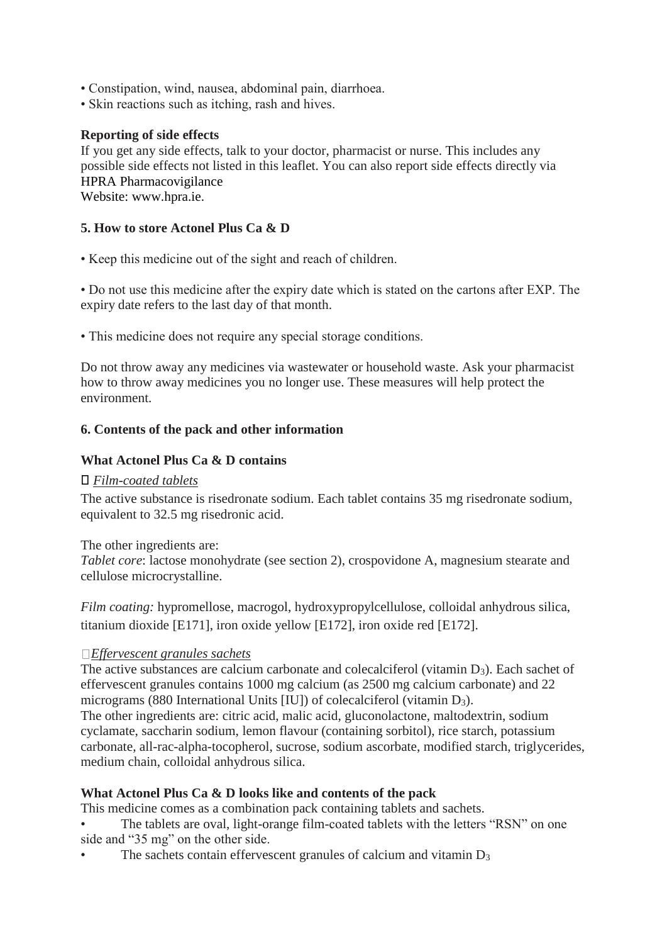- Constipation, wind, nausea, abdominal pain, diarrhoea.
- Skin reactions such as itching, rash and hives.

### **Reporting of side effects**

If you get any side effects, talk to your doctor, pharmacist or nurse. This includes any possible side effects not listed in this leaflet. You can also report side effects directly via HPRA Pharmacovigilance Website: www.hpra.ie.

### **5. How to store Actonel Plus Ca & D**

• Keep this medicine out of the sight and reach of children.

• Do not use this medicine after the expiry date which is stated on the cartons after EXP. The expiry date refers to the last day of that month.

• This medicine does not require any special storage conditions.

Do not throw away any medicines via wastewater or household waste. Ask your pharmacist how to throw away medicines you no longer use. These measures will help protect the environment.

#### **6. Contents of the pack and other information**

#### **What Actonel Plus Ca & D contains**

#### ⃝ *Film-coated tablets*

The active substance is risedronate sodium. Each tablet contains 35 mg risedronate sodium, equivalent to 32.5 mg risedronic acid.

#### The other ingredients are:

*Tablet core*: lactose monohydrate (see section 2), crospovidone A, magnesium stearate and cellulose microcrystalline.

*Film coating:* hypromellose, macrogol, hydroxypropylcellulose, colloidal anhydrous silica, titanium dioxide [E171], iron oxide yellow [E172], iron oxide red [E172].

#### *Effervescent granules sachets*

The active substances are calcium carbonate and colecalciferol (vitamin D<sub>3</sub>). Each sachet of effervescent granules contains 1000 mg calcium (as 2500 mg calcium carbonate) and 22 micrograms (880 International Units [IU]) of colecalciferol (vitamin D3).

The other ingredients are: citric acid, malic acid, gluconolactone, maltodextrin, sodium cyclamate, saccharin sodium, lemon flavour (containing sorbitol), rice starch, potassium carbonate, all-rac-alpha-tocopherol, sucrose, sodium ascorbate, modified starch, triglycerides, medium chain, colloidal anhydrous silica.

## **What Actonel Plus Ca & D looks like and contents of the pack**

This medicine comes as a combination pack containing tablets and sachets.

The tablets are oval, light-orange film-coated tablets with the letters "RSN" on one side and "35 mg" on the other side.

The sachets contain effervescent granules of calcium and vitamin  $D_3$